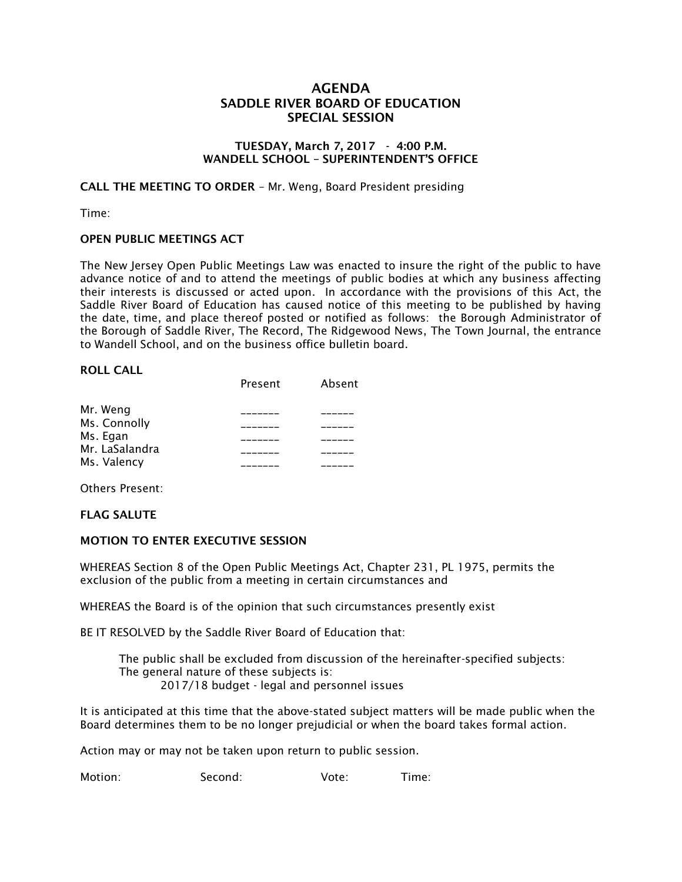# **AGENDA SADDLE RIVER BOARD OF EDUCATION SPECIAL SESSION**

#### **TUESDAY, March 7, 2017 - 4:00 P.M. WANDELL SCHOOL – SUPERINTENDENT'S OFFICE**

**CALL THE MEETING TO ORDER** – Mr. Weng, Board President presiding

Time:

### **OPEN PUBLIC MEETINGS ACT**

The New Jersey Open Public Meetings Law was enacted to insure the right of the public to have advance notice of and to attend the meetings of public bodies at which any business affecting their interests is discussed or acted upon. In accordance with the provisions of this Act, the Saddle River Board of Education has caused notice of this meeting to be published by having the date, time, and place thereof posted or notified as follows: the Borough Administrator of the Borough of Saddle River, The Record, The Ridgewood News, The Town Journal, the entrance to Wandell School, and on the business office bulletin board.

#### **ROLL CALL**

|                | Present | Absent |
|----------------|---------|--------|
| Mr. Weng       |         |        |
| Ms. Connolly   |         |        |
| Ms. Egan       |         |        |
| Mr. LaSalandra |         |        |
| Ms. Valency    |         |        |

Others Present:

#### **FLAG SALUTE**

#### **MOTION TO ENTER EXECUTIVE SESSION**

WHEREAS Section 8 of the Open Public Meetings Act, Chapter 231, PL 1975, permits the exclusion of the public from a meeting in certain circumstances and

WHEREAS the Board is of the opinion that such circumstances presently exist

BE IT RESOLVED by the Saddle River Board of Education that:

 The public shall be excluded from discussion of the hereinafter-specified subjects: The general nature of these subjects is: 2017/18 budget - legal and personnel issues

It is anticipated at this time that the above-stated subject matters will be made public when the Board determines them to be no longer prejudicial or when the board takes formal action.

Action may or may not be taken upon return to public session.

Motion: Second: Vote: Time: